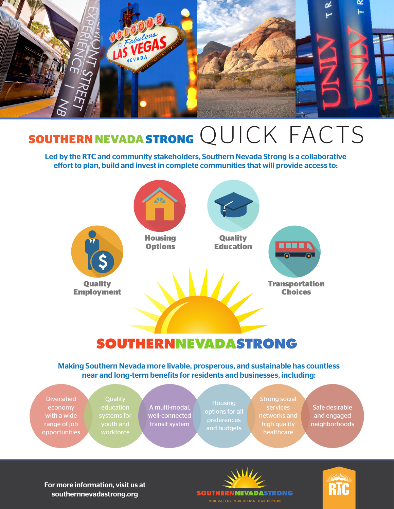

## **SOUTHERN NEVADA STRONG** QUICK FACTS

Led by the RTC and community stakeholders, Southern Nevada Strong is a collaborative effort to plan, build and invest in complete communities that will provide access to:



### **SOUTHERNNEVADASTRONG**

Making Southern Nevada more livable, prosperous, and sustainable has countless near and long-term benefits for residents and businesses, including:



For more information, visit us at southernnevadastrong.org



RTC